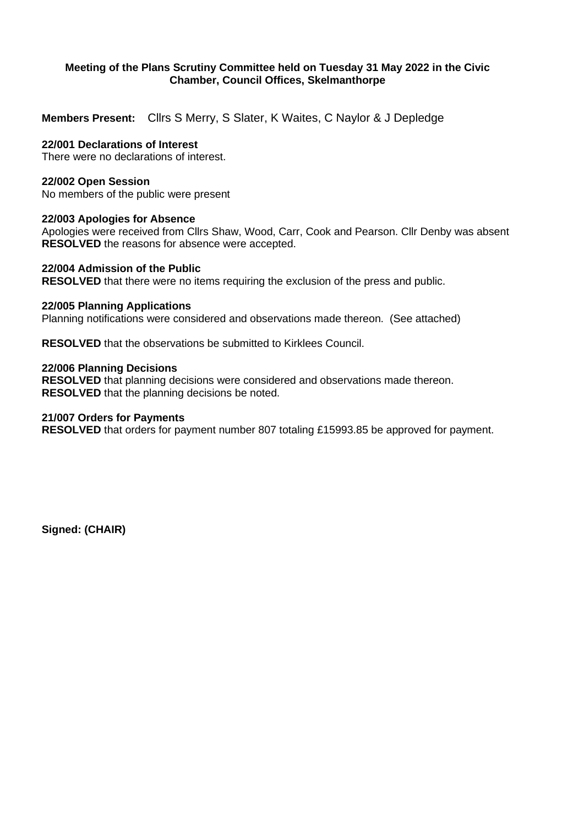## **Meeting of the Plans Scrutiny Committee held on Tuesday 31 May 2022 in the Civic Chamber, Council Offices, Skelmanthorpe**

**Members Present:** Cllrs S Merry, S Slater, K Waites, C Naylor & J Depledge

## **22/001 Declarations of Interest**

There were no declarations of interest.

## **22/002 Open Session**

No members of the public were present

## **22/003 Apologies for Absence**

Apologies were received from Cllrs Shaw, Wood, Carr, Cook and Pearson. Cllr Denby was absent **RESOLVED** the reasons for absence were accepted.

## **22/004 Admission of the Public**

**RESOLVED** that there were no items requiring the exclusion of the press and public.

## **22/005 Planning Applications**

Planning notifications were considered and observations made thereon. (See attached)

**RESOLVED** that the observations be submitted to Kirklees Council.

## **22/006 Planning Decisions**

**RESOLVED** that planning decisions were considered and observations made thereon. **RESOLVED** that the planning decisions be noted.

#### **21/007 Orders for Payments**

**RESOLVED** that orders for payment number 807 totaling £15993.85 be approved for payment.

**Signed: (CHAIR)**